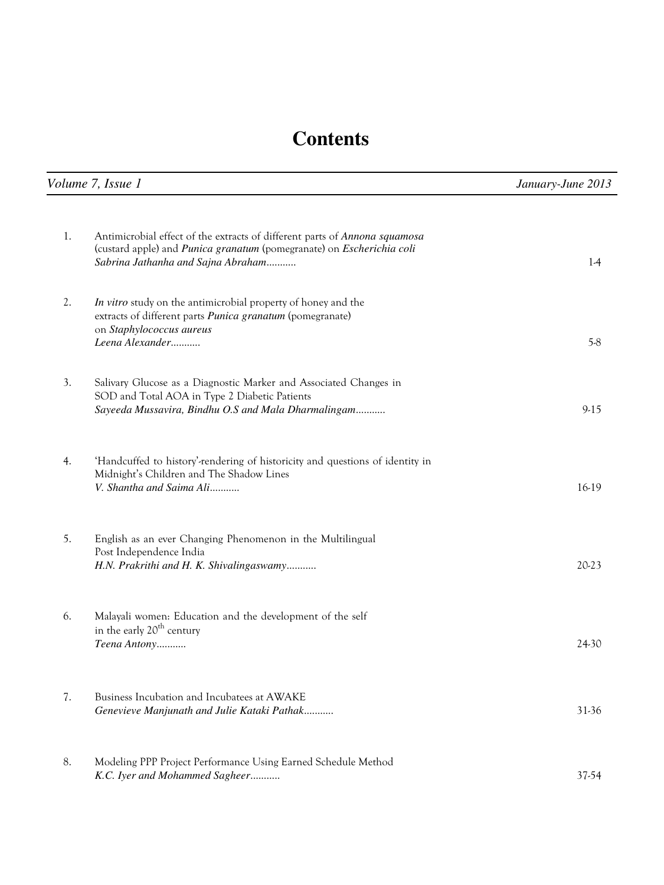## **Contents**

| Volume 7, Issue 1 |                                                                                                                                                                                           | January-June 2013 |
|-------------------|-------------------------------------------------------------------------------------------------------------------------------------------------------------------------------------------|-------------------|
|                   |                                                                                                                                                                                           |                   |
| 1.                | Antimicrobial effect of the extracts of different parts of Annona squamosa<br>(custard apple) and Punica granatum (pomegranate) on Escherichia coli<br>Sabrina Jathanha and Sajna Abraham | $1-4$             |
| 2.                | In vitro study on the antimicrobial property of honey and the<br>extracts of different parts Punica granatum (pomegranate)<br>on Staphylococcus aureus<br>Leena Alexander                 | $5-8$             |
|                   |                                                                                                                                                                                           |                   |
| 3.                | Salivary Glucose as a Diagnostic Marker and Associated Changes in<br>SOD and Total AOA in Type 2 Diabetic Patients<br>Sayeeda Mussavira, Bindhu O.S and Mala Dharmalingam                 | $9-15$            |
| 4.                | 'Handcuffed to history'-rendering of historicity and questions of identity in<br>Midnight's Children and The Shadow Lines<br>V. Shantha and Saima Ali                                     | 16-19             |
| 5.                | English as an ever Changing Phenomenon in the Multilingual<br>Post Independence India<br>H.N. Prakrithi and H. K. Shivalingaswamy                                                         | 20-23             |
| 6.                | Malayali women: Education and the development of the self<br>in the early 20 <sup>th</sup> century<br>Teena Antony                                                                        | 24-30             |
| 7.                | Business Incubation and Incubatees at AWAKE<br>Genevieve Manjunath and Julie Kataki Pathak                                                                                                | 31-36             |
| 8.                | Modeling PPP Project Performance Using Earned Schedule Method<br>K.C. Iyer and Mohammed Sagheer                                                                                           | 37-54             |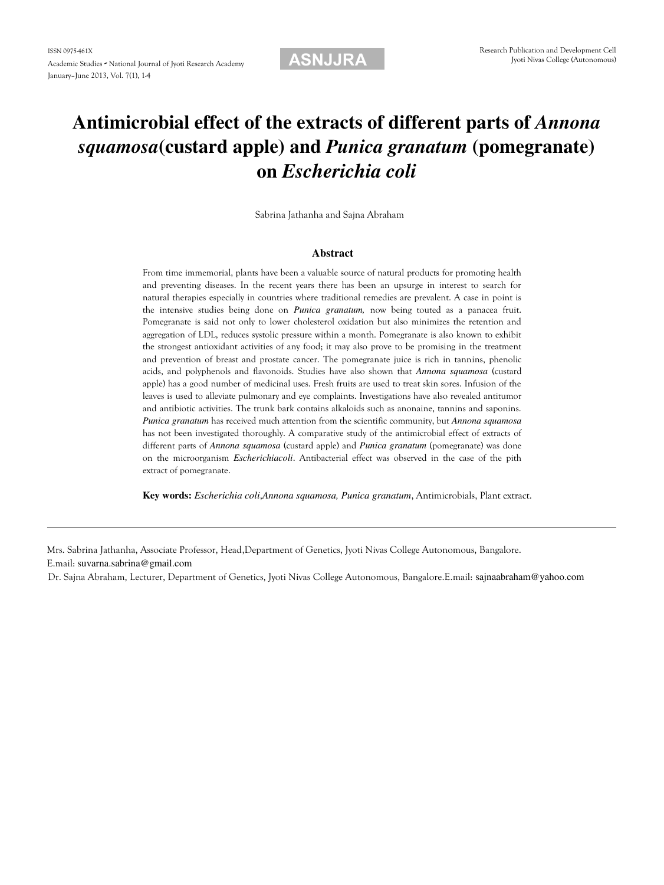### **Antimicrobial effect of the extracts of different parts of** *Annona squamosa***(custard apple) and** *Punica granatum* **(pomegranate) on** *Escherichia coli*

Sabrina Jathanha and Sajna Abraham

#### **Abstract**

From time immemorial, plants have been a valuable source of natural products for promoting health and preventing diseases. In the recent years there has been an upsurge in interest to search for natural therapies especially in countries where traditional remedies are prevalent. A case in point is the intensive studies being done on *Punica granatum,* now being touted as a panacea fruit. Pomegranate is said not only to lower cholesterol oxidation but also minimizes the retention and aggregation of LDL, reduces systolic pressure within a month. Pomegranate is also known to exhibit the strongest antioxidant activities of any food; it may also prove to be promising in the treatment and prevention of breast and prostate cancer. The pomegranate juice is rich in tannins, phenolic acids, and polyphenols and flavonoids. Studies have also shown that *Annona squamosa* (custard apple) has a good number of medicinal uses. Fresh fruits are used to treat skin sores. Infusion of the leaves is used to alleviate pulmonary and eye complaints. Investigations have also revealed antitumor and antibiotic activities. The trunk bark contains alkaloids such as anonaine, tannins and saponins. *Punica granatum* has received much attention from the scientific community, but *Annona squamosa* has not been investigated thoroughly. A comparative study of the antimicrobial effect of extracts of different parts of *Annona squamosa* (custard apple) and *Punica granatum* (pomegranate) was done on the microorganism *Escherichiacoli*. Antibacterial effect was observed in the case of the pith extract of pomegranate.

**Key words:** *Escherichia coli*,*Annona squamosa, Punica granatum*, Antimicrobials, Plant extract.

Mrs. Sabrina Jathanha, Associate Professor, Head,Department of Genetics, Jyoti Nivas College Autonomous, Bangalore. E.mail: suvarna.sabrina@gmail.com

Dr. Sajna Abraham, Lecturer, Department of Genetics, Jyoti Nivas College Autonomous, Bangalore.E.mail: sajnaabraham@yahoo.com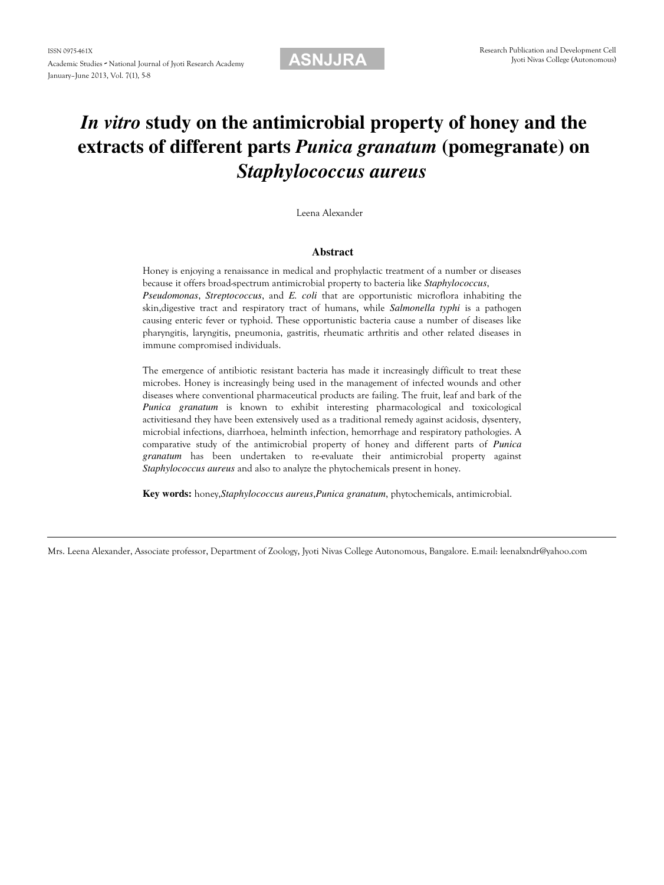### *In vitro* **study on the antimicrobial property of honey and the extracts of different parts** *Punica granatum* **(pomegranate) on** *Staphylococcus aureus*

Leena Alexander

#### **Abstract**

Honey is enjoying a renaissance in medical and prophylactic treatment of a number or diseases because it offers broad-spectrum antimicrobial property to bacteria like *Staphylococcus*, *Pseudomonas*, *Streptococcus*, and *E. coli* that are opportunistic microflora inhabiting the skin,digestive tract and respiratory tract of humans, while *Salmonella typhi* is a pathogen causing enteric fever or typhoid. These opportunistic bacteria cause a number of diseases like pharyngitis, laryngitis, pneumonia, gastritis, rheumatic arthritis and other related diseases in immune compromised individuals.

The emergence of antibiotic resistant bacteria has made it increasingly difficult to treat these microbes. Honey is increasingly being used in the management of infected wounds and other diseases where conventional pharmaceutical products are failing. The fruit, leaf and bark of the *Punica granatum* is known to exhibit interesting pharmacological and toxicological activitiesand they have been extensively used as a traditional remedy against acidosis, dysentery, microbial infections, diarrhoea, helminth infection, hemorrhage and respiratory pathologies. A comparative study of the antimicrobial property of honey and different parts of *Punica granatum* has been undertaken to re-evaluate their antimicrobial property against *Staphylococcus aureus* and also to analyze the phytochemicals present in honey.

**Key words:** honey,*Staphylococcus aureus*,*Punica granatum*, phytochemicals, antimicrobial.

Mrs. Leena Alexander, Associate professor, Department of Zoology, Jyoti Nivas College Autonomous, Bangalore. E.mail: leenalxndr@yahoo.com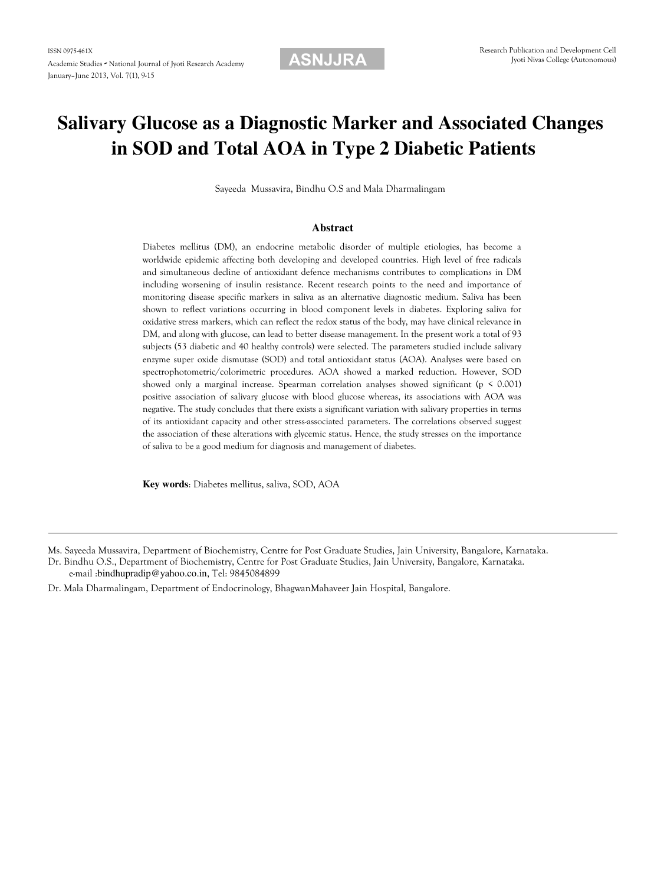### **Salivary Glucose as a Diagnostic Marker and Associated Changes in SOD and Total AOA in Type 2 Diabetic Patients**

Sayeeda Mussavira, Bindhu O.S and Mala Dharmalingam

#### **Abstract**

Diabetes mellitus (DM), an endocrine metabolic disorder of multiple etiologies, has become a worldwide epidemic affecting both developing and developed countries. High level of free radicals and simultaneous decline of antioxidant defence mechanisms contributes to complications in DM including worsening of insulin resistance. Recent research points to the need and importance of monitoring disease specific markers in saliva as an alternative diagnostic medium. Saliva has been shown to reflect variations occurring in blood component levels in diabetes. Exploring saliva for oxidative stress markers, which can reflect the redox status of the body, may have clinical relevance in DM, and along with glucose, can lead to better disease management. In the present work a total of 93 subjects (53 diabetic and 40 healthy controls) were selected. The parameters studied include salivary enzyme super oxide dismutase (SOD) and total antioxidant status (AOA). Analyses were based on spectrophotometric/colorimetric procedures. AOA showed a marked reduction. However, SOD showed only a marginal increase. Spearman correlation analyses showed significant ( $p \le 0.001$ ) positive association of salivary glucose with blood glucose whereas, its associations with AOA was negative. The study concludes that there exists a significant variation with salivary properties in terms of its antioxidant capacity and other stress-associated parameters. The correlations observed suggest the association of these alterations with glycemic status. Hence, the study stresses on the importance of saliva to be a good medium for diagnosis and management of diabetes.

**Key words**: Diabetes mellitus, saliva, SOD, AOA

Ms. Sayeeda Mussavira, Department of Biochemistry, Centre for Post Graduate Studies, Jain University, Bangalore, Karnataka.

Dr. Bindhu O.S., Department of Biochemistry, Centre for Post Graduate Studies, Jain University, Bangalore, Karnataka. e-mail :bindhupradip@yahoo.co.in, Tel: 9845084899

Dr. Mala Dharmalingam, Department of Endocrinology, BhagwanMahaveer Jain Hospital, Bangalore.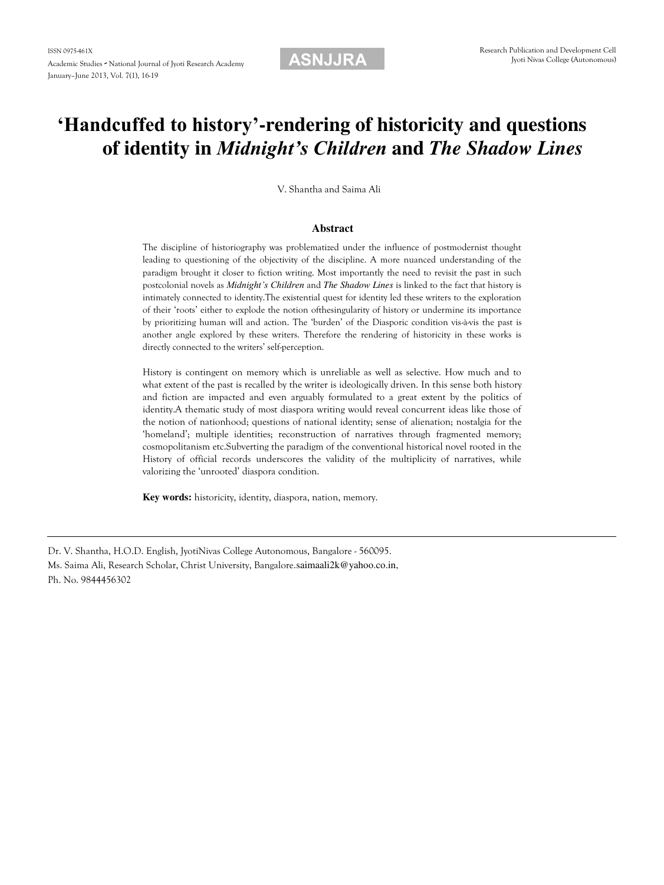### **'Handcuffed to history'-rendering of historicity and questions of identity in** *Midnight's Children* **and** *The Shadow Lines*

V. Shantha and Saima Ali

#### **Abstract**

The discipline of historiography was problematized under the influence of postmodernist thought leading to questioning of the objectivity of the discipline. A more nuanced understanding of the paradigm brought it closer to fiction writing. Most importantly the need to revisit the past in such postcolonial novels as *Midnight's Children* and *The Shadow Lines* is linked to the fact that history is intimately connected to identity.The existential quest for identity led these writers to the exploration of their 'roots' either to explode the notion ofthesingularity of history or undermine its importance by prioritizing human will and action. The 'burden' of the Diasporic condition vis-à-vis the past is another angle explored by these writers. Therefore the rendering of historicity in these works is directly connected to the writers' self-perception.

History is contingent on memory which is unreliable as well as selective. How much and to what extent of the past is recalled by the writer is ideologically driven. In this sense both history and fiction are impacted and even arguably formulated to a great extent by the politics of identity.A thematic study of most diaspora writing would reveal concurrent ideas like those of the notion of nationhood; questions of national identity; sense of alienation; nostalgia for the 'homeland'; multiple identities; reconstruction of narratives through fragmented memory; cosmopolitanism etc.Subverting the paradigm of the conventional historical novel rooted in the History of official records underscores the validity of the multiplicity of narratives, while valorizing the 'unrooted' diaspora condition.

**Key words:** historicity, identity, diaspora, nation, memory.

Ms. Saima Ali, Research Scholar, Christ University, Bangalore.saimaali2k@yahoo.co.in, Ph. No. 9844456302

Dr. V. Shantha, H.O.D. English, JyotiNivas College Autonomous, Bangalore - 560095.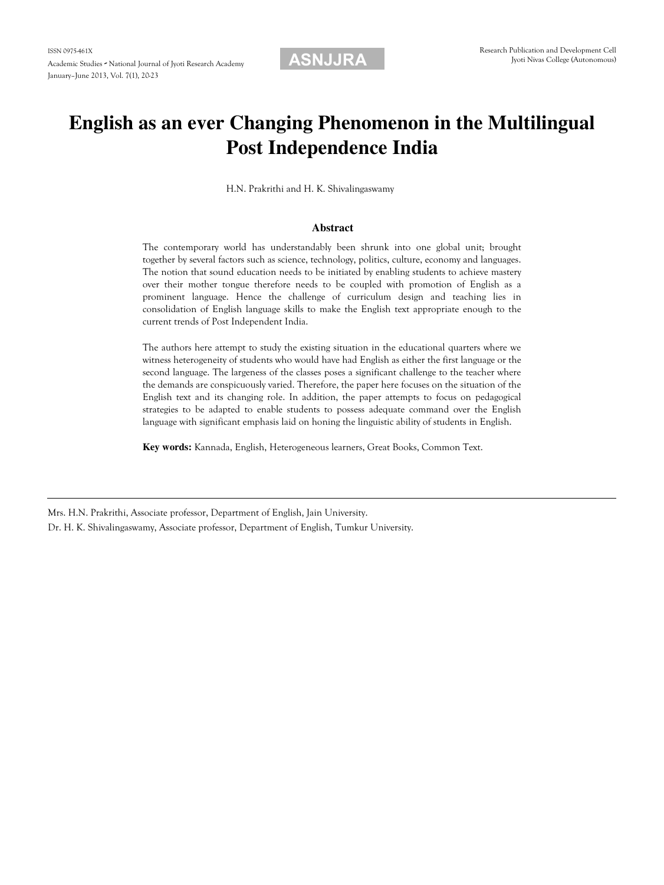### **English as an ever Changing Phenomenon in the Multilingual Post Independence India**

H.N. Prakrithi and H. K. Shivalingaswamy

#### **Abstract**

The contemporary world has understandably been shrunk into one global unit; brought together by several factors such as science, technology, politics, culture, economy and languages. The notion that sound education needs to be initiated by enabling students to achieve mastery over their mother tongue therefore needs to be coupled with promotion of English as a prominent language. Hence the challenge of curriculum design and teaching lies in consolidation of English language skills to make the English text appropriate enough to the current trends of Post Independent India.

The authors here attempt to study the existing situation in the educational quarters where we witness heterogeneity of students who would have had English as either the first language or the second language. The largeness of the classes poses a significant challenge to the teacher where the demands are conspicuously varied. Therefore, the paper here focuses on the situation of the English text and its changing role. In addition, the paper attempts to focus on pedagogical strategies to be adapted to enable students to possess adequate command over the English language with significant emphasis laid on honing the linguistic ability of students in English.

**Key words:** Kannada, English, Heterogeneous learners, Great Books, Common Text.

Mrs. H.N. Prakrithi, Associate professor, Department of English, Jain University.

Dr. H. K. Shivalingaswamy, Associate professor, Department of English, Tumkur University.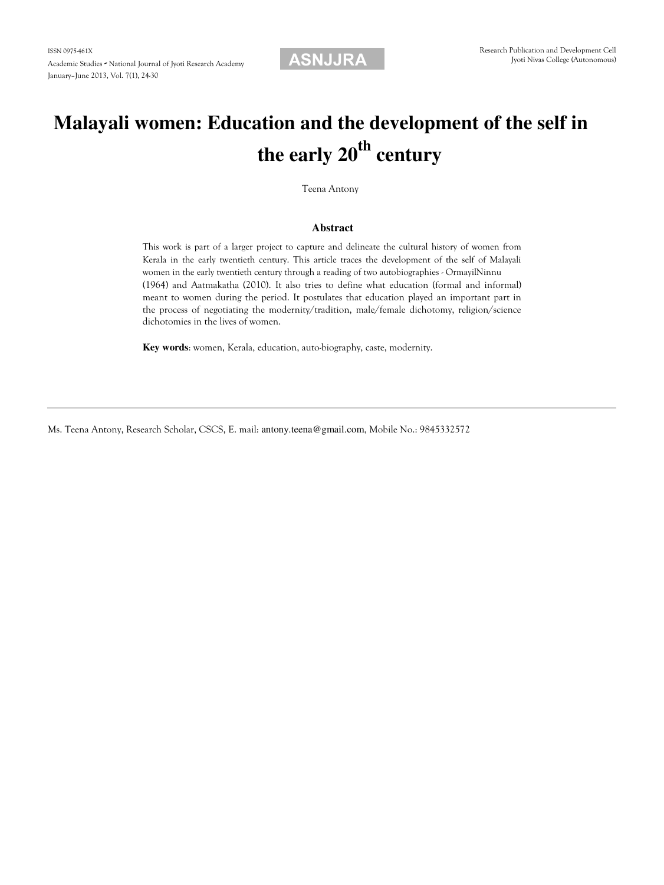# **Malayali women: Education and the development of the self in the early 20th century**

Teena Antony

### **Abstract**

This work is part of a larger project to capture and delineate the cultural history of women from Kerala in the early twentieth century. This article traces the development of the self of Malayali women in the early twentieth century through a reading of two autobiographies - OrmayilNinnu (1964) and Aatmakatha (2010). It also tries to define what education (formal and informal) meant to women during the period. It postulates that education played an important part in the process of negotiating the modernity/tradition, male/female dichotomy, religion/science dichotomies in the lives of women.

**Key words**: women, Kerala, education, auto-biography, caste, modernity.

Ms. Teena Antony, Research Scholar, CSCS, E. mail: antony.teena@gmail.com, Mobile No.: 9845332572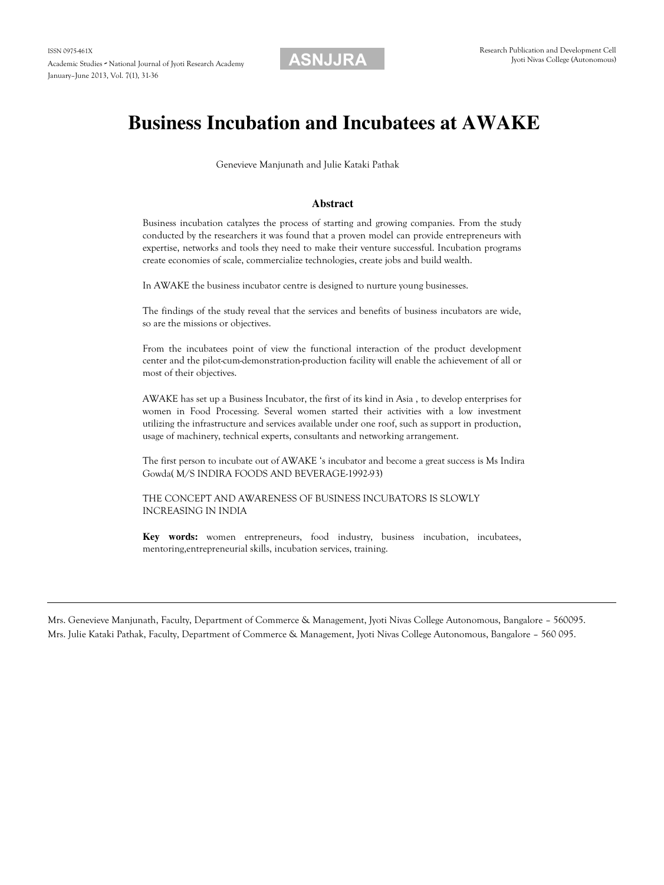### **Business Incubation and Incubatees at AWAKE**

Genevieve Manjunath and Julie Kataki Pathak

#### **Abstract**

Business incubation catalyzes the process of starting and growing companies. From the study conducted by the researchers it was found that a proven model can provide entrepreneurs with expertise, networks and tools they need to make their venture successful. Incubation programs create economies of scale, commercialize technologies, create jobs and build wealth.

In AWAKE the business incubator centre is designed to nurture young businesses.

The findings of the study reveal that the services and benefits of business incubators are wide, so are the missions or objectives.

From the incubatees point of view the functional interaction of the product development center and the pilot-cum-demonstration-production facility will enable the achievement of all or most of their objectives.

AWAKE has set up a Business Incubator, the first of its kind in Asia , to develop enterprises for women in Food Processing. Several women started their activities with a low investment utilizing the infrastructure and services available under one roof, such as support in production, usage of machinery, technical experts, consultants and networking arrangement.

The first person to incubate out of AWAKE 's incubator and become a great success is Ms Indira Gowda( M/S INDIRA FOODS AND BEVERAGE-1992-93)

THE CONCEPT AND AWARENESS OF BUSINESS INCUBATORS IS SLOWLY INCREASING IN INDIA

**Key words:** women entrepreneurs, food industry, business incubation, incubatees, mentoring,entrepreneurial skills, incubation services, training.

Mrs. Genevieve Manjunath, Faculty, Department of Commerce & Management, Jyoti Nivas College Autonomous, Bangalore – 560095. Mrs. Julie Kataki Pathak, Faculty, Department of Commerce & Management, Jyoti Nivas College Autonomous, Bangalore – 560 095.